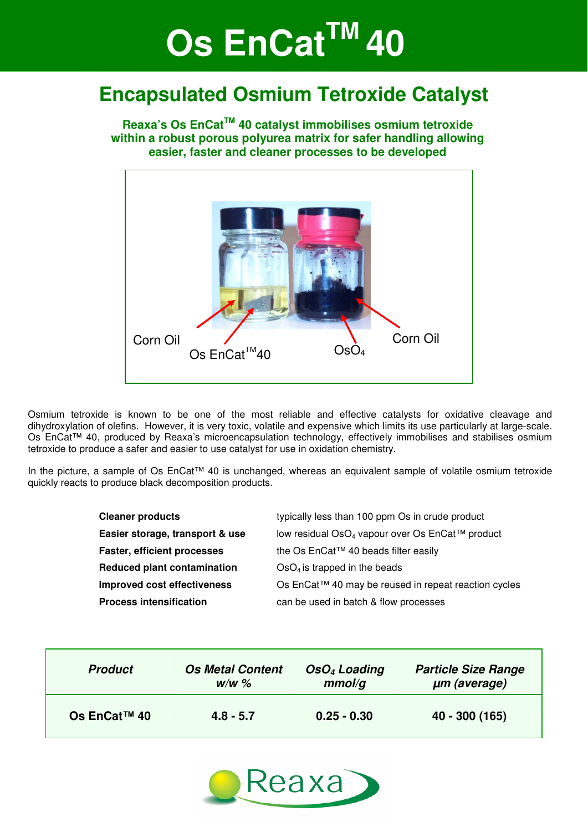# **Os EnCat<sup>™</sup> 40**

## **Encapsulated Osmium Tetroxide Catalyst**

**Reaxa's Os EnCatTM 40 catalyst immobilises osmium tetroxide within a robust porous polyurea matrix for safer handling allowing easier, faster and cleaner processes to be developed** 

Corn Oil  $\overline{O}$  Corn Oil Corn Oil Corn Oil Os  $FnCat^{TM}40$ 

Osmium tetroxide is known to be one of the most reliable and effective catalysts for oxidative cleavage and dihydroxylation of olefins. However, it is very toxic, volatile and expensive which limits its use particularly at large-scale. Os EnCat™ 40, produced by Reaxa's microencapsulation technology, effectively immobilises and stabilises osmium tetroxide to produce a safer and easier to use catalyst for use in oxidation chemistry.

In the picture, a sample of Os EnCat™ 40 is unchanged, whereas an equivalent sample of volatile osmium tetroxide quickly reacts to produce black decomposition products.

| <b>Cleaner products</b>            | typically less than 100 ppm Os in crude product             |
|------------------------------------|-------------------------------------------------------------|
| Easier storage, transport & use    | low residual OsO <sub>4</sub> vapour over Os EnCat™ product |
| <b>Faster, efficient processes</b> | the Os EnCat™ 40 beads filter easily                        |
| Reduced plant contamination        | $OSO4$ is trapped in the beads                              |
| <b>Improved cost effectiveness</b> | Os EnCat™ 40 may be reused in repeat reaction cycles        |
| <b>Process intensification</b>     | can be used in batch & flow processes                       |

| <b>Product</b> | <b>Os Metal Content</b> | OsO <sub>4</sub> Loading | <b>Particle Size Range</b> |
|----------------|-------------------------|--------------------------|----------------------------|
|                | $W/W$ %                 | mmol/q                   | um (average)               |
| Os EnCat™ 40   | $4.8 - 5.7$             | $0.25 - 0.30$            | 40 - 300 (165)             |